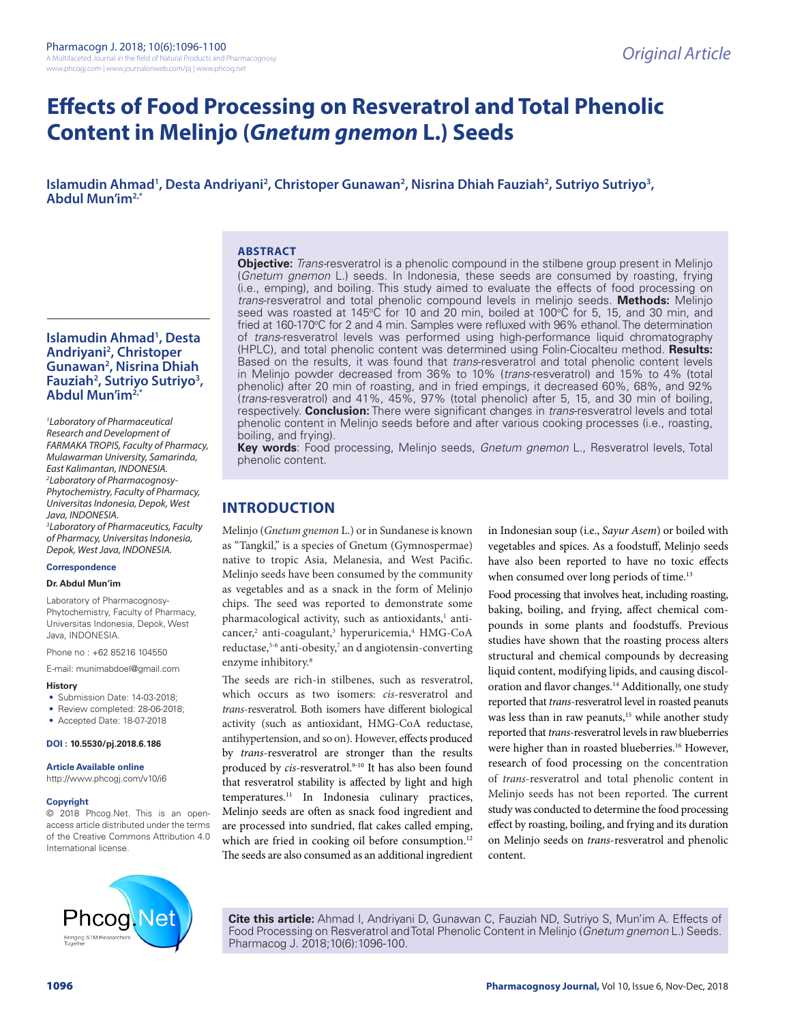# **Effects of Food Processing on Resveratrol and Total Phenolic Content in Melinjo (***Gnetum gnemon* **L.) Seeds**

Islamudin Ahmad<sup>1</sup>, Desta Andriyani<sup>2</sup>, Christoper Gunawan<sup>2</sup>, Nisrina Dhiah Fauziah<sup>2</sup>, Sutriyo Sutriyo<sup>3</sup>, **Abdul Mun'im2,\***

## **ABSTRACT**

**Islamudin Ahmad1 , Desta Andriyani2 , Christoper Gunawan2 , Nisrina Dhiah Fauziah2 , Sutriyo Sutriyo3 , Abdul Mun'im2,\***

*1 Laboratory of Pharmaceutical Research and Development of FARMAKA TROPIS, Faculty of Pharmacy, Mulawarman University, Samarinda, East Kalimantan, INDONESIA. 2 Laboratory of Pharmacognosy-Phytochemistry, Faculty of Pharmacy, Universitas Indonesia, Depok, West Java, INDONESIA. 3 Laboratory of Pharmaceutics, Faculty of Pharmacy, Universitas Indonesia, Depok, West Java, INDONESIA.*

#### **Correspondence**

#### **Dr. Abdul Mun'im**

Laboratory of Pharmacognosy-Phytochemistry, Faculty of Pharmacy, Universitas Indonesia, Depok, West Java, INDONESIA.

Phone no : +62 85216 104550

E-mail: munimabdoel@gmail.com

#### **History**

- Submission Date: 14-03-2018;
- Review completed: 28-06-2018;
- Accepted Date: 18-07-2018

#### **DOI : 10.5530/pj.2018.6.186**

**Article Available online** 

http://www.phcogj.com/v10/i6

#### **Copyright**

© 2018 Phcog.Net. This is an openaccess article distributed under the terms of the Creative Commons Attribution 4.0 International license.

**Objective:** *Trans-*resveratrol is a phenolic compound in the stilbene group present in Melinjo (*Gnetum gnemon* L.) seeds. In Indonesia, these seeds are consumed by roasting, frying (i.e., emping), and boiling. This study aimed to evaluate the effects of food processing on *trans*-resveratrol and total phenolic compound levels in melinjo seeds. **Methods:** Melinjo seed was roasted at 145°C for 10 and 20 min, boiled at 100°C for 5, 15, and 30 min, and fried at 160-170°C for 2 and 4 min. Samples were refluxed with 96% ethanol. The determination of *trans*-resveratrol levels was performed using high-performance liquid chromatography (HPLC), and total phenolic content was determined using Folin-Ciocalteu method. **Results:** Based on the results, it was found that *trans*-resveratrol and total phenolic content levels in Melinjo powder decreased from 36% to 10% (*trans*-resveratrol) and 15% to 4% (total phenolic) after 20 min of roasting, and in fried empings, it decreased 60%, 68%, and 92% (*trans*-resveratrol) and 41%, 45%, 97% (total phenolic) after 5, 15, and 30 min of boiling, respectively. **Conclusion:** There were significant changes in *trans*-resveratrol levels and total phenolic content in Melinjo seeds before and after various cooking processes (i.e., roasting, boiling, and frying).

**Key words**: Food processing, Melinjo seeds, *Gnetum gnemon* L., Resveratrol levels, Total phenolic content.

## **INTRODUCTION**

Melinjo (*Gnetum gnemon* L.) or in Sundanese is known as "Tangkil," is a species of Gnetum (Gymnospermae) native to tropic Asia, Melanesia, and West Pacific. Melinjo seeds have been consumed by the community as vegetables and as a snack in the form of Melinjo chips. The seed was reported to demonstrate some pharmacological activity, such as antioxidants,<sup>1</sup> anticancer,<sup>2</sup> anti-coagulant,<sup>3</sup> hyperuricemia,<sup>4</sup> HMG-CoA reductase,<sup>5-6</sup> anti-obesity,<sup>7</sup> an d angiotensin-converting enzyme inhibitory.<sup>8</sup>

The seeds are rich-in stilbenes, such as resveratrol, which occurs as two isomers: *cis*-resveratrol and *trans*-resveratrol. Both isomers have different biological activity (such as antioxidant, HMG-CoA reductase, antihypertension, and so on). However, effects produced by *trans*-resveratrol are stronger than the results produced by *cis-resveratrol.*<sup>9-10</sup> It has also been found that resveratrol stability is affected by light and high temperatures.11 In Indonesia culinary practices, Melinjo seeds are often as snack food ingredient and are processed into sundried, flat cakes called emping, which are fried in cooking oil before consumption.<sup>12</sup> The seeds are also consumed as an additional ingredient

in Indonesian soup (i.e., *Sayur Asem*) or boiled with vegetables and spices. As a foodstuff, Melinjo seeds have also been reported to have no toxic effects when consumed over long periods of time.<sup>13</sup>

Food processing that involves heat, including roasting, baking, boiling, and frying, affect chemical compounds in some plants and foodstuffs. Previous studies have shown that the roasting process alters structural and chemical compounds by decreasing liquid content, modifying lipids, and causing discoloration and flavor changes.<sup>14</sup> Additionally, one study reported that *trans*-resveratrol level in roasted peanuts was less than in raw peanuts,<sup>15</sup> while another study reported that *trans*-resveratrol levels in raw blueberries were higher than in roasted blueberries.<sup>16</sup> However, research of food processing on the concentration of *trans*-resveratrol and total phenolic content in Melinjo seeds has not been reported. The current study was conducted to determine the food processing effect by roasting, boiling, and frying and its duration on Melinjo seeds on *trans*-resveratrol and phenolic content.



**Cite this article:** Ahmad I, Andriyani D, Gunawan C, Fauziah ND, Sutriyo S, Mun'im A. Effects of Food Processing on Resveratrol and Total Phenolic Content in Melinjo (*Gnetum gnemon* L.) Seeds. Pharmacog J. 2018;10(6):1096-100.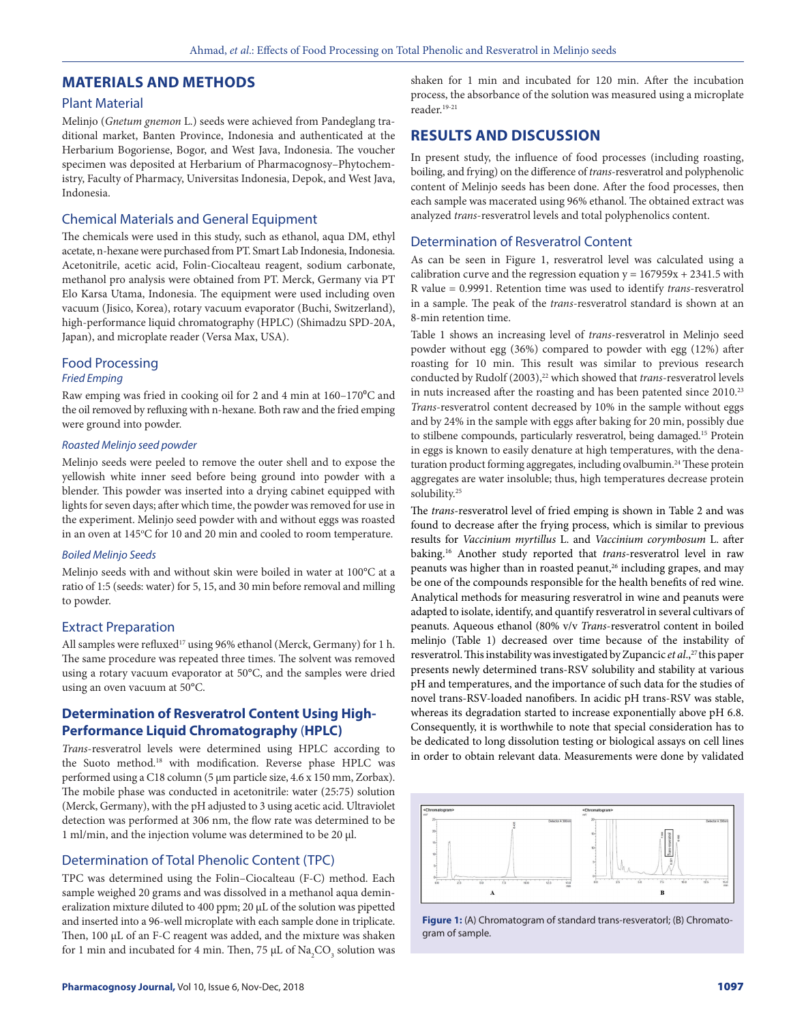## **MATERIALS AND METHODS**

#### Plant Material

Melinjo (*Gnetum gnemon* L.) seeds were achieved from Pandeglang traditional market, Banten Province, Indonesia and authenticated at the Herbarium Bogoriense, Bogor, and West Java, Indonesia. The voucher specimen was deposited at Herbarium of Pharmacognosy–Phytochemistry, Faculty of Pharmacy, Universitas Indonesia, Depok, and West Java, Indonesia.

## Chemical Materials and General Equipment

The chemicals were used in this study, such as ethanol, aqua DM, ethyl acetate, n-hexane were purchased from PT. Smart Lab Indonesia, Indonesia. Acetonitrile, acetic acid, Folin-Ciocalteau reagent, sodium carbonate, methanol pro analysis were obtained from PT. Merck, Germany via PT Elo Karsa Utama, Indonesia. The equipment were used including oven vacuum (Jisico, Korea), rotary vacuum evaporator (Buchi, Switzerland), high-performance liquid chromatography (HPLC) (Shimadzu SPD-20A, Japan), and microplate reader (Versa Max, USA).

## Food Processing

#### *Fried Emping*

Raw emping was fried in cooking oil for 2 and 4 min at  $160-170^{\circ}$ C and the oil removed by refluxing with n-hexane. Both raw and the fried emping were ground into powder.

## *Roasted Melinjo seed powder*

Melinjo seeds were peeled to remove the outer shell and to expose the yellowish white inner seed before being ground into powder with a blender. This powder was inserted into a drying cabinet equipped with lights for seven days; after which time, the powder was removed for use in the experiment. Melinjo seed powder with and without eggs was roasted in an oven at 145°C for 10 and 20 min and cooled to room temperature.

#### *Boiled Melinjo Seeds*

Melinjo seeds with and without skin were boiled in water at 100°C at a ratio of 1:5 (seeds: water) for 5, 15, and 30 min before removal and milling to powder.

#### Extract Preparation

All samples were refluxed<sup>17</sup> using 96% ethanol (Merck, Germany) for 1 h. The same procedure was repeated three times. The solvent was removed using a rotary vacuum evaporator at 50°C, and the samples were dried using an oven vacuum at 50°C.

## **Determination of Resveratrol Content Using High-Performance Liquid Chromatography** (**HPLC)**

*Trans*-resveratrol levels were determined using HPLC according to the Suoto method.18 with modification. Reverse phase HPLC was performed using a C18 column (5 µm particle size, 4.6 x 150 mm, Zorbax). The mobile phase was conducted in acetonitrile: water (25:75) solution (Merck, Germany), with the pH adjusted to 3 using acetic acid. Ultraviolet detection was performed at 306 nm, the flow rate was determined to be 1 ml/min, and the injection volume was determined to be 20 µl.

## Determination of Total Phenolic Content (TPC)

TPC was determined using the Folin–Ciocalteau (F-C) method. Each sample weighed 20 grams and was dissolved in a methanol aqua demineralization mixture diluted to 400 ppm; 20 μL of the solution was pipetted and inserted into a 96-well microplate with each sample done in triplicate. Then, 100 μL of an F-C reagent was added, and the mixture was shaken for 1 min and incubated for 4 min. Then, 75  $\mu$ L of Na<sub>2</sub>CO<sub>3</sub> solution was shaken for 1 min and incubated for 120 min. After the incubation process, the absorbance of the solution was measured using a microplate reader.19-21

## **RESULTS AND DISCUSSION**

In present study, the influence of food processes (including roasting, boiling, and frying) on the difference of *trans*-resveratrol and polyphenolic content of Melinjo seeds has been done. After the food processes, then each sample was macerated using 96% ethanol. The obtained extract was analyzed *trans*-resveratrol levels and total polyphenolics content.

## Determination of Resveratrol Content

As can be seen in Figure 1, resveratrol level was calculated using a calibration curve and the regression equation  $y = 167959x + 2341.5$  with R value = 0.9991. Retention time was used to identify *trans*-resveratrol in a sample. The peak of the *trans*-resveratrol standard is shown at an 8-min retention time.

Table 1 shows an increasing level of *trans*-resveratrol in Melinjo seed powder without egg (36%) compared to powder with egg (12%) after roasting for 10 min. This result was similar to previous research conducted by Rudolf (2003),<sup>22</sup> which showed that *trans*-resveratrol levels in nuts increased after the roasting and has been patented since 2010.<sup>23</sup> *Trans*-resveratrol content decreased by 10% in the sample without eggs and by 24% in the sample with eggs after baking for 20 min, possibly due to stilbene compounds, particularly resveratrol, being damaged.15 Protein in eggs is known to easily denature at high temperatures, with the denaturation product forming aggregates, including ovalbumin.<sup>24</sup> These protein aggregates are water insoluble; thus, high temperatures decrease protein solubility.25

The *trans*-resveratrol level of fried emping is shown in Table 2 and was found to decrease after the frying process, which is similar to previous results for *Vaccinium myrtillus* L. and *Vaccinium corymbosum* L. after baking.16 Another study reported that *trans*-resveratrol level in raw peanuts was higher than in roasted peanut,<sup>26</sup> including grapes, and may be one of the compounds responsible for the health benefits of red wine. Analytical methods for measuring resveratrol in wine and peanuts were adapted to isolate, identify, and quantify resveratrol in several cultivars of peanuts. Aqueous ethanol (80% v/v *Trans*-resveratrol content in boiled melinjo (Table 1) decreased over time because of the instability of resveratrol. This instability was investigated by Zupancic *et al.*,<sup>27</sup> this paper presents newly determined trans-RSV solubility and stability at various pH and temperatures, and the importance of such data for the studies of novel trans-RSV-loaded nanofibers. In acidic pH trans-RSV was stable, whereas its degradation started to increase exponentially above pH 6.8. Consequently, it is worthwhile to note that special consideration has to be dedicated to long dissolution testing or biological assays on cell lines in order to obtain relevant data. Measurements were done by validated



**Figure 1:** (A) Chromatogram of standard trans-resveratorl; (B) Chromatogram of sample.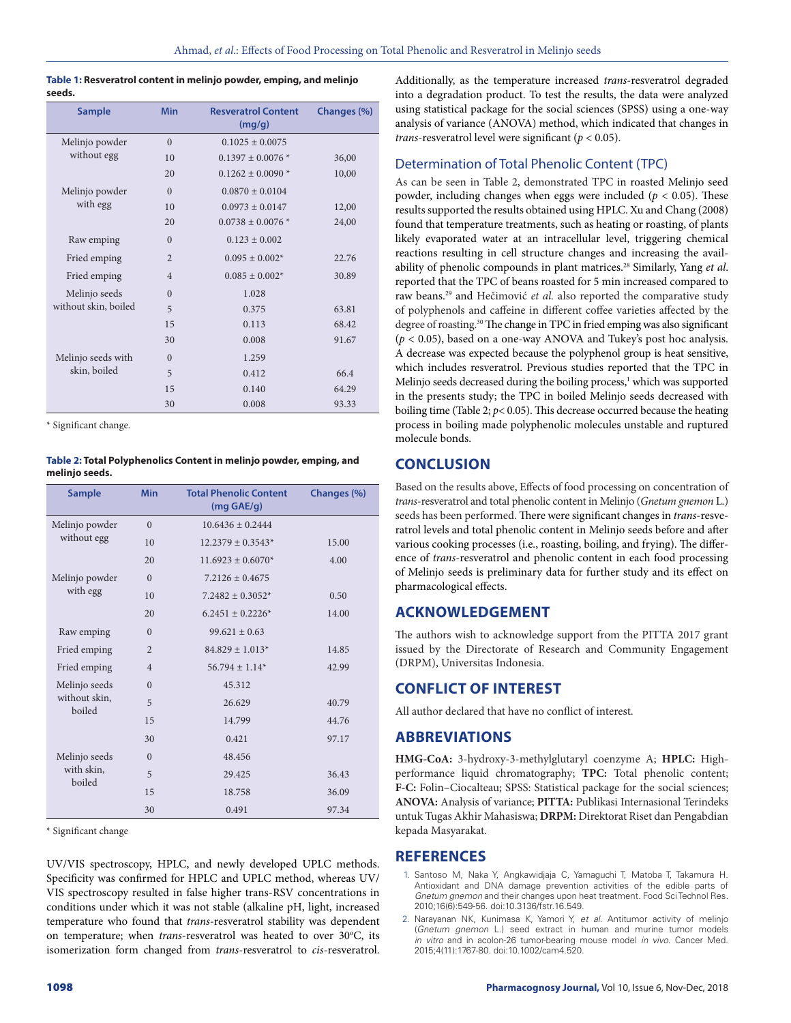| Table 1: Resveratrol content in melinjo powder, emping, and melinjo |
|---------------------------------------------------------------------|
| seeds.                                                              |

| <b>Sample</b>                      | <b>Min</b>     | <b>Resveratrol Content</b><br>(mq/q) | Changes (%) |
|------------------------------------|----------------|--------------------------------------|-------------|
| Melinjo powder<br>without egg      | $\theta$       | $0.1025 + 0.0075$                    |             |
|                                    | 10             | $0.1397 + 0.0076*$                   | 36,00       |
|                                    | 20             | $0.1262 + 0.0090*$                   | 10,00       |
| Melinjo powder<br>with egg         | $\Omega$       | $0.0870 \pm 0.0104$                  |             |
|                                    | 10             | $0.0973 \pm 0.0147$                  | 12,00       |
|                                    | 20             | $0.0738 + 0.0076*$                   | 24,00       |
| Raw emping                         | $\overline{0}$ | $0.123 \pm 0.002$                    |             |
| Fried emping                       | $\overline{2}$ | $0.095 \pm 0.002*$                   | 22.76       |
| Fried emping                       | $\overline{4}$ | $0.085 \pm 0.002$ *                  | 30.89       |
| Melinjo seeds                      | $\overline{0}$ | 1.028                                |             |
| without skin, boiled               | 5              | 0.375                                | 63.81       |
|                                    | 15             | 0.113                                | 68.42       |
|                                    | 30             | 0.008                                | 91.67       |
| Melinjo seeds with<br>skin, boiled | $\theta$       | 1.259                                |             |
|                                    | 5              | 0.412                                | 66.4        |
|                                    | 15             | 0.140                                | 64.29       |
|                                    | 30             | 0.008                                | 93.33       |

\* Significant change.

**Table 2: Total Polyphenolics Content in melinjo powder, emping, and melinjo seeds.**

| <b>Sample</b>                            | <b>Min</b>     | <b>Total Phenolic Content</b><br>$(mq \overline{GAE/q})$ | Changes (%) |
|------------------------------------------|----------------|----------------------------------------------------------|-------------|
| Melinjo powder<br>without egg            | $\theta$       | $10.6436 \pm 0.2444$                                     |             |
|                                          | 10             | $12.2379 \pm 0.3543*$                                    | 15.00       |
|                                          | 20             | $11.6923 \pm 0.6070$ *                                   | 4.00        |
| Melinjo powder<br>with egg               | $\theta$       | $7.2126 + 0.4675$                                        |             |
|                                          | 10             | $7.2482 \pm 0.3052^*$                                    | 0.50        |
|                                          | 20             | $6.2451 + 0.2226*$                                       | 14.00       |
| Raw emping                               | $\Omega$       | $99.621 \pm 0.63$                                        |             |
| Fried emping                             | $\overline{2}$ | $84.829 \pm 1.013*$                                      | 14.85       |
| Fried emping                             | $\overline{4}$ | $56.794 \pm 1.14*$                                       | 42.99       |
| Melinjo seeds<br>without skin,<br>boiled | $\Omega$       | 45.312                                                   |             |
|                                          | 5              | 26.629                                                   | 40.79       |
|                                          | 15             | 14.799                                                   | 44.76       |
|                                          | 30             | 0.421                                                    | 97.17       |
| Melinjo seeds<br>with skin,<br>boiled    | $\Omega$       | 48.456                                                   |             |
|                                          | 5              | 29.425                                                   | 36.43       |
|                                          | 15             | 18.758                                                   | 36.09       |
|                                          | 30             | 0.491                                                    | 97.34       |

\* Significant change

UV/VIS spectroscopy, HPLC, and newly developed UPLC methods. Specificity was confirmed for HPLC and UPLC method, whereas UV/ VIS spectroscopy resulted in false higher trans-RSV concentrations in conditions under which it was not stable (alkaline pH, light, increased temperature who found that *trans*-resveratrol stability was dependent on temperature; when *trans*-resveratrol was heated to over 30°C, its isomerization form changed from *trans*-resveratrol to *cis*-resveratrol.

Additionally, as the temperature increased *trans*-resveratrol degraded into a degradation product. To test the results, the data were analyzed using statistical package for the social sciences (SPSS) using a one-way analysis of variance (ANOVA) method, which indicated that changes in *trans*-resveratrol level were significant ( $p < 0.05$ ).

## Determination of Total Phenolic Content (TPC)

As can be seen in Table 2, demonstrated TPC in roasted Melinjo seed powder, including changes when eggs were included ( $p < 0.05$ ). These results supported the results obtained using HPLC. Xu and Chang (2008) found that temperature treatments, such as heating or roasting, of plants likely evaporated water at an intracellular level, triggering chemical reactions resulting in cell structure changes and increasing the availability of phenolic compounds in plant matrices.28 Similarly, Yang *et al*. reported that the TPC of beans roasted for 5 min increased compared to raw beans.29 and Hečimović *et al.* also reported the comparative study of polyphenols and caffeine in different coffee varieties affected by the degree of roasting.<sup>30</sup> The change in TPC in fried emping was also significant (*p* < 0.05), based on a one-way ANOVA and Tukey's post hoc analysis. A decrease was expected because the polyphenol group is heat sensitive, which includes resveratrol. Previous studies reported that the TPC in Melinjo seeds decreased during the boiling process,<sup>1</sup> which was supported in the presents study; the TPC in boiled Melinjo seeds decreased with boiling time (Table 2; *p*< 0.05). This decrease occurred because the heating process in boiling made polyphenolic molecules unstable and ruptured molecule bonds.

# **CONCLUSION**

Based on the results above, Effects of food processing on concentration of *trans*-resveratrol and total phenolic content in Melinjo (*Gnetum gnemon* L.) seeds has been performed. There were significant changes in *trans*-resveratrol levels and total phenolic content in Melinjo seeds before and after various cooking processes (i.e., roasting, boiling, and frying). The difference of *trans*-resveratrol and phenolic content in each food processing of Melinjo seeds is preliminary data for further study and its effect on pharmacological effects.

# **ACKNOWLEDGEMENT**

The authors wish to acknowledge support from the PITTA 2017 grant issued by the Directorate of Research and Community Engagement (DRPM), Universitas Indonesia.

# **CONFLICT OF INTEREST**

All author declared that have no conflict of interest.

# **ABBREVIATIONS**

**HMG-CoA:** 3-hydroxy-3-methylglutaryl coenzyme A; **HPLC:** Highperformance liquid chromatography; **TPC:** Total phenolic content; **F-C:** Folin–Ciocalteau; SPSS: Statistical package for the social sciences; **ANOVA:** Analysis of variance; **PITTA:** Publikasi Internasional Terindeks untuk Tugas Akhir Mahasiswa; **DRPM:** Direktorat Riset dan Pengabdian kepada Masyarakat.

# **REFERENCES**

- 1. Santoso M, Naka Y, Angkawidjaja C, Yamaguchi T, Matoba T, Takamura H. Antioxidant and DNA damage prevention activities of the edible parts of *Gnetum gnemon* and their changes upon heat treatment. Food Sci Technol Res. 2010;16(6):549-56. doi:10.3136/fstr.16.549.
- 2. Narayanan NK, Kunimasa K, Yamori Y, *et al*. Antitumor activity of melinjo (*Gnetum gnemon* L.) seed extract in human and murine tumor models *in vitro* and in acolon-26 tumor-bearing mouse model *in vivo*. Cancer Med. 2015;4(11):1767-80. doi:10.1002/cam4.520.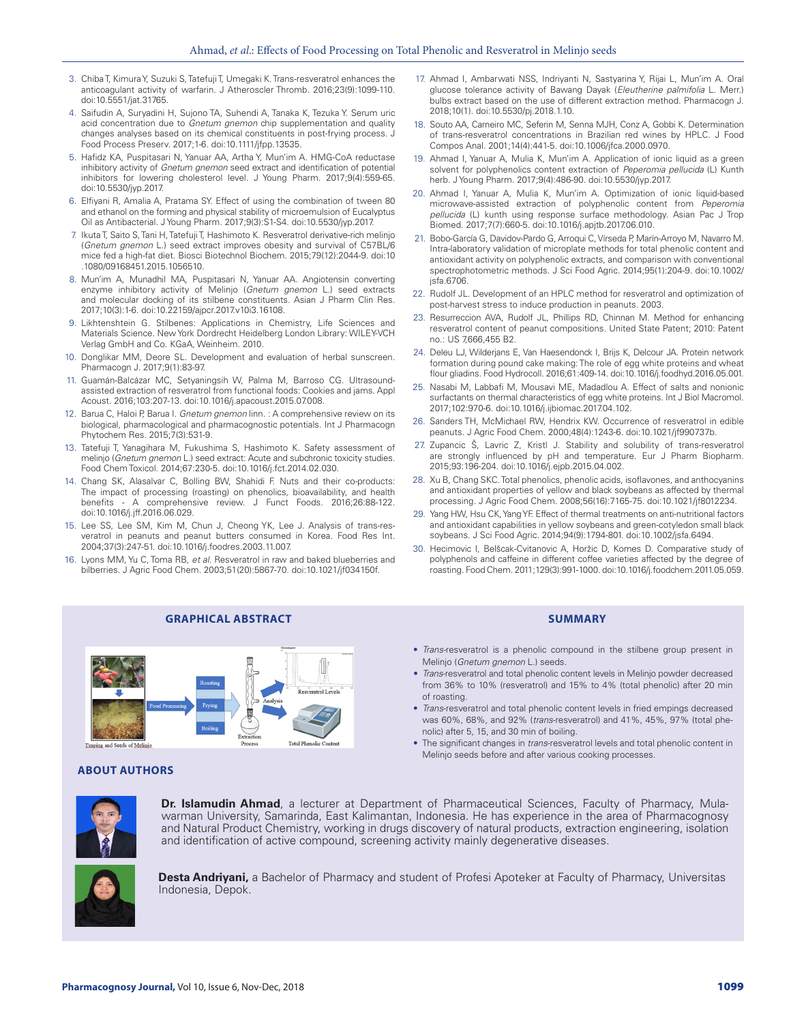- 3. Chiba T, Kimura Y, Suzuki S, Tatefuji T, Umegaki K. Trans-resveratrol enhances the anticoagulant activity of warfarin. J Atheroscler Thromb. 2016;23(9):1099-110. doi:10.5551/jat.31765.
- 4. Saifudin A, Suryadini H, Sujono TA, Suhendi A, Tanaka K, Tezuka Y. Serum uric acid concentration due to *Gnetum gnemon* chip supplementation and quality changes analyses based on its chemical constituents in post-frying process. J Food Process Preserv. 2017;1-6. doi:10.1111/jfpp.13535.
- 5. Hafidz KA, Puspitasari N, Yanuar AA, Artha Y, Mun'im A. HMG-CoA reductase inhibitory activity of *Gnetum gnemon* seed extract and identification of potential inhibitors for lowering cholesterol level. J Young Pharm. 2017;9(4):559-65. doi:10.5530/jyp.2017.
- 6. Elfiyani R, Amalia A, Pratama SY. Effect of using the combination of tween 80 and ethanol on the forming and physical stability of microemulsion of Eucalyptus Oil as Antibacterial. J Young Pharm. 2017;9(3):S1-S4. doi:10.5530/jyp.2017.
- 7. Ikuta T, Saito S, Tani H, Tatefuji T, Hashimoto K. Resveratrol derivative-rich melinjo (*Gnetum gnemon* L.) seed extract improves obesity and survival of C57BL/6 mice fed a high-fat diet. Biosci Biotechnol Biochem. 2015;79(12):2044-9. doi:10 .1080/09168451.2015.1056510.
- 8. Mun'im A, Munadhil MA, Puspitasari N, Yanuar AA. Angiotensin converting enzyme inhibitory activity of Melinjo (*Gnetum gnemon* L.) seed extracts and molecular docking of its stilbene constituents. Asian J Pharm Clin Res. 2017;10(3):1-6. doi:10.22159/ajpcr.2017.v10i3.16108.
- 9. Likhtenshtein G. Stilbenes: Applications in Chemistry, Life Sciences and Materials Science. New York Dordrecht Heidelberg London Library: WILEY-VCH Verlag GmbH and Co. KGaA, Weinheim. 2010.
- 10. Donglikar MM, Deore SL. Development and evaluation of herbal sunscreen. Pharmacogn J. 2017;9(1):83-97.
- 11. Guamán-Balcázar MC, Setyaningsih W, Palma M, Barroso CG. Ultrasoundassisted extraction of resveratrol from functional foods: Cookies and jams. Appl Acoust. 2016;103:207-13. doi:10.1016/j.apacoust.2015.07.008.
- 12. Barua C, Haloi P, Barua I. *Gnetum gnemon* linn. : A comprehensive review on its biological, pharmacological and pharmacognostic potentials. Int J Pharmacogn Phytochem Res. 2015;7(3):531-9.
- 13. Tatefuji T, Yanagihara M, Fukushima S, Hashimoto K. Safety assessment of melinjo (*Gnetum gnemon* L.) seed extract: Acute and subchronic toxicity studies. Food Chem Toxicol. 2014;67:230-5. doi:10.1016/j.fct.2014.02.030.
- 14. Chang SK, Alasalvar C, Bolling BW, Shahidi F. Nuts and their co-products: The impact of processing (roasting) on phenolics, bioavailability, and health benefits - A comprehensive review. J Funct Foods. 2016;26:88-122. doi:10.1016/j.jff.2016.06.029.
- 15. Lee SS, Lee SM, Kim M, Chun J, Cheong YK, Lee J. Analysis of trans-resveratrol in peanuts and peanut butters consumed in Korea. Food Res Int. 2004;37(3):247-51. doi:10.1016/j.foodres.2003.11.007.
- 16. Lyons MM, Yu C, Toma RB, *et al*. Resveratrol in raw and baked blueberries and bilberries. J Agric Food Chem. 2003;51(20):5867-70. doi:10.1021/jf034150f.

al Lands

- 17. Ahmad I, Ambarwati NSS, Indriyanti N, Sastyarina Y, Rijai L, Mun'im A. Oral glucose tolerance activity of Bawang Dayak (*Eleutherine palmifolia* L. Merr.) bulbs extract based on the use of different extraction method. Pharmacogn J. 2018;10(1). doi:10.5530/pj.2018.1.10.
- 18. Souto AA, Carneiro MC, Seferin M, Senna MJH, Conz A, Gobbi K. Determination of trans-resveratrol concentrations in Brazilian red wines by HPLC. J Food Compos Anal. 2001;14(4):441-5. doi:10.1006/jfca.2000.0970.
- 19. Ahmad I, Yanuar A, Mulia K, Mun'im A. Application of ionic liquid as a green solvent for polyphenolics content extraction of *Peperomia pellucida* (L) Kunth herb. J Young Pharm. 2017;9(4):486-90. doi:10.5530/jyp.2017.
- 20. Ahmad I, Yanuar A, Mulia K, Mun'im A. Optimization of ionic liquid-based microwave-assisted extraction of polyphenolic content from *Peperomia pellucida* (L) kunth using response surface methodology. Asian Pac J Trop Biomed. 2017;7(7):660-5. doi:10.1016/j.apjtb.2017.06.010.
- 21. Bobo-García G, Davidov-Pardo G, Arroqui C, Vírseda P, Marín-Arroyo M, Navarro M. Intra-laboratory validation of microplate methods for total phenolic content and antioxidant activity on polyphenolic extracts, and comparison with conventional spectrophotometric methods. J Sci Food Agric. 2014;95(1):204-9. doi:10.1002/  $isfa.6706$
- 22. Rudolf JL. Development of an HPLC method for resveratrol and optimization of post-harvest stress to induce production in peanuts. 2003.
- 23. Resurreccion AVA, Rudolf JL, Phillips RD, Chinnan M. Method for enhancing resveratrol content of peanut compositions. United State Patent; 2010: Patent no.: US 7,666,455 B2.
- 24. Deleu LJ, Wilderjans E, Van Haesendonck I, Brijs K, Delcour JA. Protein network formation during pound cake making: The role of egg white proteins and wheat flour gliadins. Food Hydrocoll. 2016;61:409-14. doi:10.1016/j.foodhyd.2016.05.001.
- 25. Nasabi M, Labbafi M, Mousavi ME, Madadlou A. Effect of salts and nonionic surfactants on thermal characteristics of egg white proteins. Int J Biol Macromol. 2017;102:970-6. doi:10.1016/j.ijbiomac.2017.04.102.
- 26. Sanders TH, McMichael RW, Hendrix KW. Occurrence of resveratrol in edible peanuts. J Agric Food Chem. 2000;48(4):1243-6. doi:10.1021/jf990737b.
- 27. Zupancic Š, Lavric Z, Kristl J. Stability and solubility of trans-resveratrol are strongly influenced by pH and temperature. Eur J Pharm Biopharm. 2015;93:196-204. doi:10.1016/j.ejpb.2015.04.002.
- 28. Xu B, Chang SKC. Total phenolics, phenolic acids, isoflavones, and anthocyanins and antioxidant properties of yellow and black soybeans as affected by thermal processing. J Agric Food Chem. 2008;56(16):7165-75. doi:10.1021/jf8012234.
- 29. Yang HW, Hsu CK, Yang YF. Effect of thermal treatments on anti-nutritional factors and antioxidant capabilities in yellow soybeans and green-cotyledon small black soybeans. J Sci Food Agric. 2014;94(9):1794-801. doi:10.1002/jsfa.6494.
- 30. Hecimovic I, Belšcak-Cvitanovic A, Horžic D, Komes D. Comparative study of polyphenols and caffeine in different coffee varieties affected by the degree of roasting. Food Chem. 2011;129(3):991-1000. doi:10.1016/j.foodchem.2011.05.059.

## **GRAPHICAL ABSTRACT SUMMARY**

- *Trans-*resveratrol is a phenolic compound in the stilbene group present in Melinjo (*Gnetum gnemon* L.) seeds.
- *Trans*-resveratrol and total phenolic content levels in Melinjo powder decreased from 36% to 10% (resveratrol) and 15% to 4% (total phenolic) after 20 min of roasting.
- *Trans*-resveratrol and total phenolic content levels in fried empings decreased was 60%, 68%, and 92% (*trans*-resveratrol) and 41%, 45%, 97% (total phenolic) after 5, 15, and 30 min of boiling.
- The significant changes in *trans*-resveratrol levels and total phenolic content in Melinjo seeds before and after various cooking processes.

## **ABOUT AUTHORS**

Emping and Seeds of Melinio



**Dr. Islamudin Ahmad**, a lecturer at Department of Pharmaceutical Sciences, Faculty of Pharmacy, Mulawarman University, Samarinda, East Kalimantan, Indonesia. He has experience in the area of Pharmacognosy and Natural Product Chemistry, working in drugs discovery of natural products, extraction engineering, isolation and identification of active compound, screening activity mainly degenerative diseases.



**Desta Andriyani,** a Bachelor of Pharmacy and student of Profesi Apoteker at Faculty of Pharmacy, Universitas Indonesia, Depok.